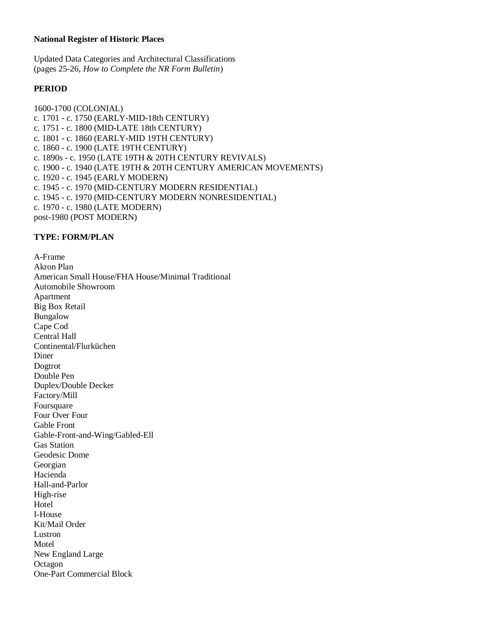## **National Register of Historic Places**

Updated Data Categories and Architectural Classifications (pages 25-26, *How to Complete the NR Form Bulletin*)

## **PERIOD**

1600-1700 (COLONIAL) c. 1701 - c. 1750 (EARLY-MID-18th CENTURY) c. 1751 - c. 1800 (MID-LATE 18th CENTURY) c. 1801 - c. 1860 (EARLY-MID 19TH CENTURY) c. 1860 - c. 1900 (LATE 19TH CENTURY) c. 1890s - c. 1950 (LATE 19TH & 20TH CENTURY REVIVALS) c. 1900 - c. 1940 (LATE 19TH & 20TH CENTURY AMERICAN MOVEMENTS) c. 1920 - c. 1945 (EARLY MODERN) c. 1945 - c. 1970 (MID-CENTURY MODERN RESIDENTIAL) c. 1945 - c. 1970 (MID-CENTURY MODERN NONRESIDENTIAL) c. 1970 - c. 1980 (LATE MODERN) post-1980 (POST MODERN)

## **TYPE: FORM/PLAN**

A-Frame Akron Plan American Small House/FHA House/Minimal Traditional Automobile Showroom Apartment Big Box Retail Bungalow Cape Cod Central Hall Continental/Flurküchen Diner Dogtrot Double Pen Duplex/Double Decker Factory/Mill Foursquare Four Over Four Gable Front Gable-Front-and-Wing/Gabled-Ell Gas Station Geodesic Dome Georgian Hacienda Hall-and-Parlor High-rise Hotel I-House Kit/Mail Order Lustron Motel New England Large **Octagon** One-Part Commercial Block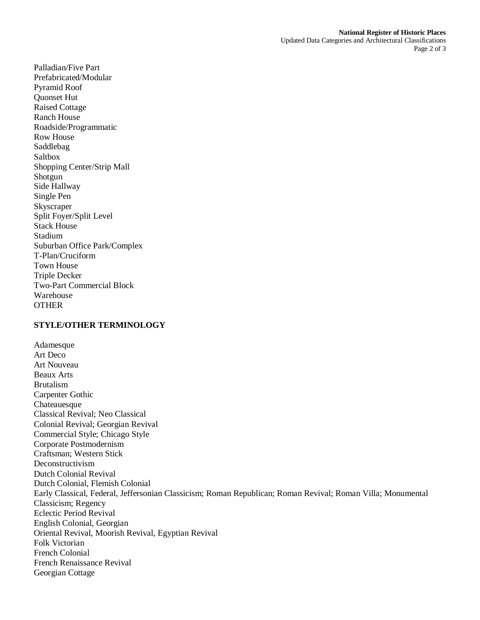Updated Data Categories and Architectural Classifications Page 2 of 3

Palladian/Five Part Prefabricated/Modular Pyramid Roof Quonset Hut Raised Cottage Ranch House Roadside/Programmatic Row House Saddlebag Saltbox Shopping Center/Strip Mall Shotgun Side Hallway Single Pen **Skyscraper** Split Foyer/Split Level Stack House Stadium Suburban Office Park/Complex T-Plan/Cruciform Town House Triple Decker Two-Part Commercial Block Warehouse **OTHER** 

## **STYLE/OTHER TERMINOLOGY**

Adamesque Art Deco Art Nouveau Beaux Arts Brutalism Carpenter Gothic Chateauesque Classical Revival; Neo Classical Colonial Revival; Georgian Revival Commercial Style; Chicago Style Corporate Postmodernism Craftsman; Western Stick Deconstructivism Dutch Colonial Revival Dutch Colonial, Flemish Colonial Early Classical, Federal, Jeffersonian Classicism; Roman Republican; Roman Revival; Roman Villa; Monumental Classicism; Regency Eclectic Period Revival English Colonial, Georgian Oriental Revival, Moorish Revival, Egyptian Revival Folk Victorian French Colonial French Renaissance Revival Georgian Cottage